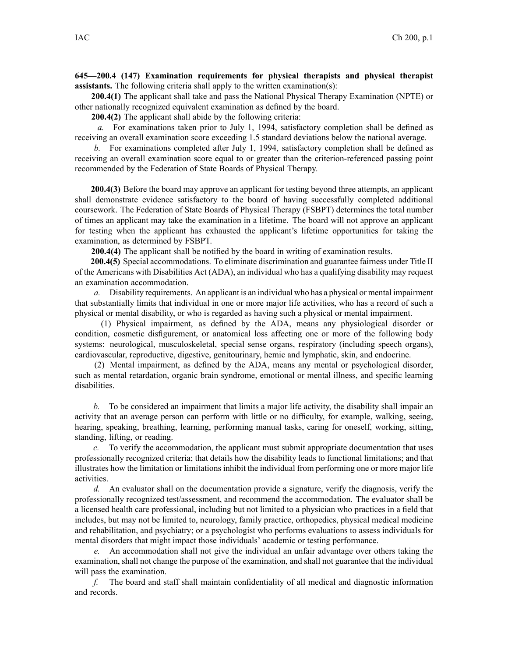## **645—200.4 (147) Examination requirements for physical therapists and physical therapist assistants.** The following criteria shall apply to the written examination(s):

**200.4(1)** The applicant shall take and pass the National Physical Therapy Examination (NPTE) or other nationally recognized equivalent examination as defined by the board.

**200.4(2)** The applicant shall abide by the following criteria:

*a.* For examinations taken prior to July 1, 1994, satisfactory completion shall be defined as receiving an overall examination score exceeding 1.5 standard deviations below the national average.

*b.* For examinations completed after July 1, 1994, satisfactory completion shall be defined as receiving an overall examination score equal to or greater than the criterion-referenced passing point recommended by the Federation of State Boards of Physical Therapy.

**200.4(3)** Before the board may approve an applicant for testing beyond three attempts, an applicant shall demonstrate evidence satisfactory to the board of having successfully completed additional coursework. The Federation of State Boards of Physical Therapy (FSBPT) determines the total number of times an applicant may take the examination in <sup>a</sup> lifetime. The board will not approve an applicant for testing when the applicant has exhausted the applicant's lifetime opportunities for taking the examination, as determined by FSBPT.

**200.4(4)** The applicant shall be notified by the board in writing of examination results.

**200.4(5)** Special accommodations. To eliminate discrimination and guarantee fairness under Title II of the Americans with Disabilities Act (ADA), an individual who has <sup>a</sup> qualifying disability may reques<sup>t</sup> an examination accommodation.

*a.* Disability requirements. An applicant is an individual who has <sup>a</sup> physical or mental impairment that substantially limits that individual in one or more major life activities, who has <sup>a</sup> record of such <sup>a</sup> physical or mental disability, or who is regarded as having such <sup>a</sup> physical or mental impairment.

(1) Physical impairment, as defined by the ADA, means any physiological disorder or condition, cosmetic disfigurement, or anatomical loss affecting one or more of the following body systems: neurological, musculoskeletal, special sense organs, respiratory (including speech organs), cardiovascular, reproductive, digestive, genitourinary, hemic and lymphatic, skin, and endocrine.

(2) Mental impairment, as defined by the ADA, means any mental or psychological disorder, such as mental retardation, organic brain syndrome, emotional or mental illness, and specific learning disabilities.

*b.* To be considered an impairment that limits <sup>a</sup> major life activity, the disability shall impair an activity that an average person can perform with little or no difficulty, for example, walking, seeing, hearing, speaking, breathing, learning, performing manual tasks, caring for oneself, working, sitting, standing, lifting, or reading.

*c.* To verify the accommodation, the applicant must submit appropriate documentation that uses professionally recognized criteria; that details how the disability leads to functional limitations; and that illustrates how the limitation or limitations inhibit the individual from performing one or more major life activities.

*d.* An evaluator shall on the documentation provide <sup>a</sup> signature, verify the diagnosis, verify the professionally recognized test/assessment, and recommend the accommodation. The evaluator shall be <sup>a</sup> licensed health care professional, including but not limited to <sup>a</sup> physician who practices in <sup>a</sup> field that includes, but may not be limited to, neurology, family practice, orthopedics, physical medical medicine and rehabilitation, and psychiatry; or <sup>a</sup> psychologist who performs evaluations to assess individuals for mental disorders that might impact those individuals' academic or testing performance.

*e.* An accommodation shall not give the individual an unfair advantage over others taking the examination, shall not change the purpose of the examination, and shall not guarantee that the individual will pass the examination.

*f.* The board and staff shall maintain confidentiality of all medical and diagnostic information and records.